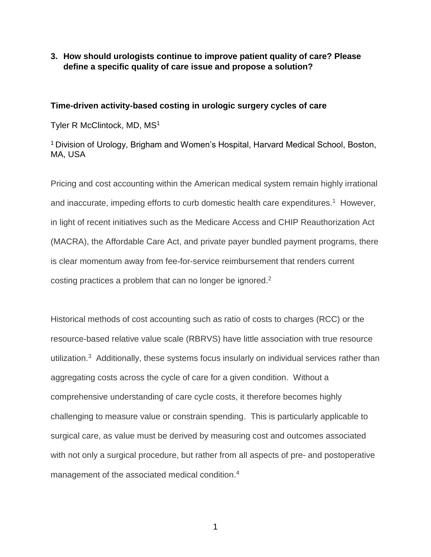## **3. How should urologists continue to improve patient quality of care? Please define a specific quality of care issue and propose a solution?**

## **Time-driven activity-based costing in urologic surgery cycles of care**

Tyler R McClintock, MD, MS<sup>1</sup>

<sup>1</sup>Division of Urology, Brigham and Women's Hospital, Harvard Medical School, Boston, MA, USA

Pricing and cost accounting within the American medical system remain highly irrational and inaccurate, impeding efforts to curb domestic health care expenditures.<sup>1</sup> However, in light of recent initiatives such as the Medicare Access and CHIP Reauthorization Act (MACRA), the Affordable Care Act, and private payer bundled payment programs, there is clear momentum away from fee-for-service reimbursement that renders current costing practices a problem that can no longer be ignored. $2$ 

Historical methods of cost accounting such as ratio of costs to charges (RCC) or the resource-based relative value scale (RBRVS) have little association with true resource utilization.<sup>3</sup> Additionally, these systems focus insularly on individual services rather than aggregating costs across the cycle of care for a given condition. Without a comprehensive understanding of care cycle costs, it therefore becomes highly challenging to measure value or constrain spending. This is particularly applicable to surgical care, as value must be derived by measuring cost and outcomes associated with not only a surgical procedure, but rather from all aspects of pre- and postoperative management of the associated medical condition.<sup>4</sup>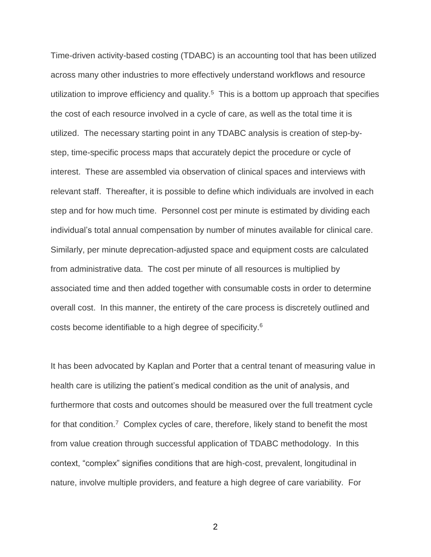Time-driven activity-based costing (TDABC) is an accounting tool that has been utilized across many other industries to more effectively understand workflows and resource utilization to improve efficiency and quality.<sup>5</sup> This is a bottom up approach that specifies the cost of each resource involved in a cycle of care, as well as the total time it is utilized. The necessary starting point in any TDABC analysis is creation of step-bystep, time-specific process maps that accurately depict the procedure or cycle of interest. These are assembled via observation of clinical spaces and interviews with relevant staff. Thereafter, it is possible to define which individuals are involved in each step and for how much time. Personnel cost per minute is estimated by dividing each individual's total annual compensation by number of minutes available for clinical care. Similarly, per minute deprecation-adjusted space and equipment costs are calculated from administrative data. The cost per minute of all resources is multiplied by associated time and then added together with consumable costs in order to determine overall cost. In this manner, the entirety of the care process is discretely outlined and costs become identifiable to a high degree of specificity. 6

It has been advocated by Kaplan and Porter that a central tenant of measuring value in health care is utilizing the patient's medical condition as the unit of analysis, and furthermore that costs and outcomes should be measured over the full treatment cycle for that condition.<sup>7</sup> Complex cycles of care, therefore, likely stand to benefit the most from value creation through successful application of TDABC methodology. In this context, "complex" signifies conditions that are high-cost, prevalent, longitudinal in nature, involve multiple providers, and feature a high degree of care variability. For

2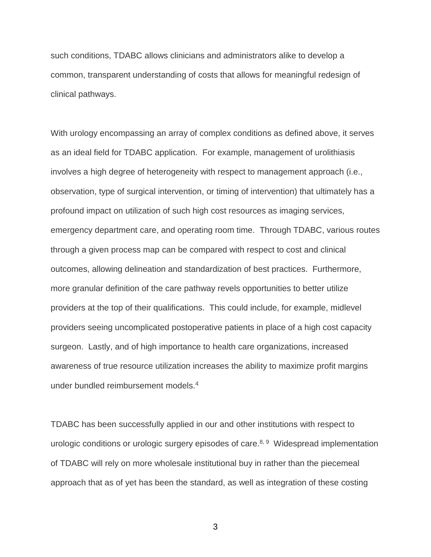such conditions, TDABC allows clinicians and administrators alike to develop a common, transparent understanding of costs that allows for meaningful redesign of clinical pathways.

With urology encompassing an array of complex conditions as defined above, it serves as an ideal field for TDABC application. For example, management of urolithiasis involves a high degree of heterogeneity with respect to management approach (i.e., observation, type of surgical intervention, or timing of intervention) that ultimately has a profound impact on utilization of such high cost resources as imaging services, emergency department care, and operating room time. Through TDABC, various routes through a given process map can be compared with respect to cost and clinical outcomes, allowing delineation and standardization of best practices. Furthermore, more granular definition of the care pathway revels opportunities to better utilize providers at the top of their qualifications. This could include, for example, midlevel providers seeing uncomplicated postoperative patients in place of a high cost capacity surgeon. Lastly, and of high importance to health care organizations, increased awareness of true resource utilization increases the ability to maximize profit margins under bundled reimbursement models. 4

TDABC has been successfully applied in our and other institutions with respect to urologic conditions or urologic surgery episodes of care.<sup>8, 9</sup> Widespread implementation of TDABC will rely on more wholesale institutional buy in rather than the piecemeal approach that as of yet has been the standard, as well as integration of these costing

3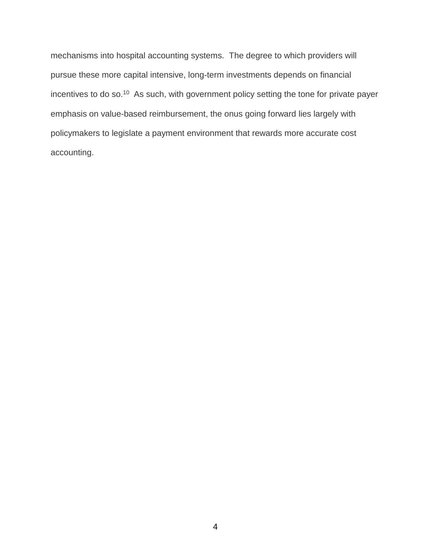mechanisms into hospital accounting systems. The degree to which providers will pursue these more capital intensive, long-term investments depends on financial incentives to do so.<sup>10</sup> As such, with government policy setting the tone for private payer emphasis on value-based reimbursement, the onus going forward lies largely with policymakers to legislate a payment environment that rewards more accurate cost accounting.